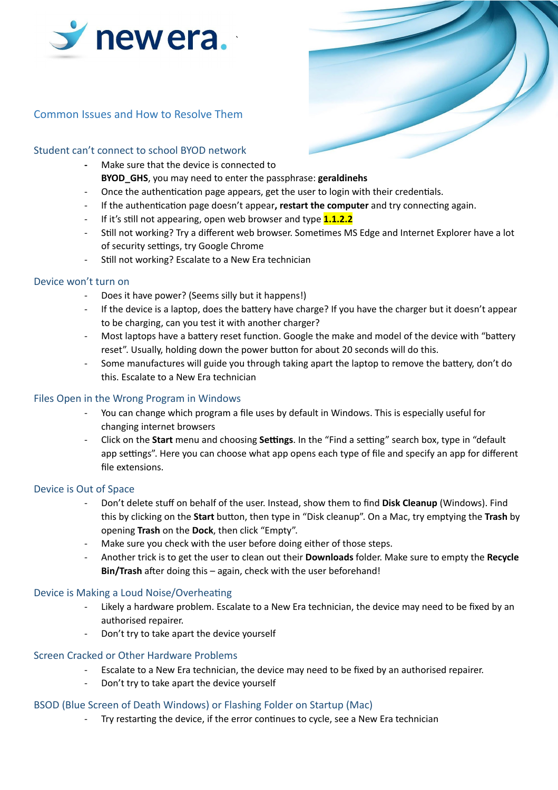

# Common Issues and How to Resolve Them

## Student can't connect to school BYOD network

- **-** Make sure that the device is connected to
- **BYOD\_GHS**, you may need to enter the passphrase: **geraldinehs**
- Once the authentication page appears, get the user to login with their credentials.
- If the authentication page doesn't appear, **restart the computer** and try connecting again.
- If it's still not appearing, open web browser and type **1.1.2.2**
- Still not working? Try a different web browser. Sometimes MS Edge and Internet Explorer have a lot of security settings, try Google Chrome
- Still not working? Escalate to a New Era technician

#### Device won't turn on

- Does it have power? (Seems silly but it happens!)
- If the device is a laptop, does the battery have charge? If you have the charger but it doesn't appear to be charging, can you test it with another charger?
- Most laptops have a battery reset function. Google the make and model of the device with "battery reset". Usually, holding down the power button for about 20 seconds will do this.
- Some manufactures will guide you through taking apart the laptop to remove the battery, don't do this. Escalate to a New Era technician

#### Files Open in the Wrong Program in Windows

- You can change which program a file uses by default in Windows. This is especially useful for changing internet browsers
- Click on the **Start** menu and choosing **Settings**. In the "Find a setting" search box, type in "default app settings". Here you can choose what app opens each type of file and specify an app for different file extensions.

#### Device is Out of Space

- Don't delete stuff on behalf of the user. Instead, show them to find **Disk Cleanup** (Windows). Find this by clicking on the **Start** button, then type in "Disk cleanup". On a Mac, try emptying the Trash by opening **Trash** on the **Dock**, then click "Empty".
- Make sure you check with the user before doing either of those steps.
- Another trick is to get the user to clean out their **Downloads** folder. Make sure to empty the **Recycle** Bin/Trash after doing this – again, check with the user beforehand!

#### Device is Making a Loud Noise/Overheating

- Likely a hardware problem. Escalate to a New Era technician, the device may need to be fixed by an authorised repairer.
- Don't try to take apart the device yourself

#### Screen Cracked or Other Hardware Problems

- Escalate to a New Era technician, the device may need to be fixed by an authorised repairer.
- Don't try to take apart the device yourself

#### BSOD (Blue Screen of Death Windows) or Flashing Folder on Startup (Mac)

Try restarting the device, if the error continues to cycle, see a New Era technician